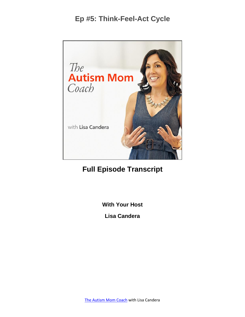

# **Full Episode Transcript**

**With Your Host**

**Lisa Candera**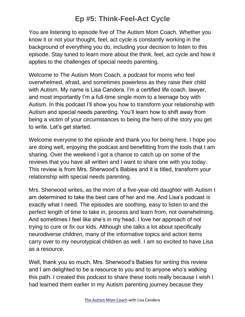You are listening to episode five of The Autism Mom Coach. Whether you know it or not your thought, feel, act cycle is constantly working in the background of everything you do, including your decision to listen to this episode. Stay tuned to learn more about the think, feel, act cycle and how it applies to the challenges of special needs parenting.

Welcome to The Autism Mom Coach, a podcast for moms who feel overwhelmed, afraid, and sometimes powerless as they raise their child with Autism. My name is Lisa Candera. I'm a certified life coach, lawyer, and most importantly I'm a full-time single mom to a teenage boy with Autism. In this podcast I'll show you how to transform your relationship with Autism and special needs parenting. You'll learn how to shift away from being a victim of your circumstances to being the hero of the story you get to write. Let's get started.

Welcome everyone to the episode and thank you for being here. I hope you are doing well, enjoying the podcast and benefitting from the tools that I am sharing. Over the weekend I got a chance to catch up on some of the reviews that you have all written and I want to share one with you today. This review is from Mrs. Sherwood's Babies and it is titled, transform your relationship with special needs parenting.

Mrs. Sherwood writes, as the mom of a five-year-old daughter with Autism I am determined to take the best care of her and me. And Lisa's podcast is exactly what I need. The episodes are soothing, easy to listen to and the perfect length of time to take in, process and learn from, not overwhelming. And sometimes I feel like she's in my head. I love her approach of not trying to cure or fix our kids. Although she talks a lot about specifically neurodiverse children, many of the informative topics and action items carry over to my neurotypical children as well. I am so excited to have Lisa as a resource.

Well, thank you so much, Mrs. Sherwood's Babies for writing this review and I am delighted to be a resource to you and to anyone who's walking this path. I created this podcast to share these tools really because I wish I had learned them earlier in my Autism parenting journey because they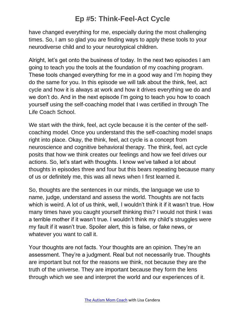have changed everything for me, especially during the most challenging times. So, I am so glad you are finding ways to apply these tools to your neurodiverse child and to your neurotypical children.

Alright, let's get onto the business of today. In the next two episodes I am going to teach you the tools at the foundation of my coaching program. These tools changed everything for me in a good way and I'm hoping they do the same for you. In this episode we will talk about the think, feel, act cycle and how it is always at work and how it drives everything we do and we don't do. And in the next episode I'm going to teach you how to coach yourself using the self-coaching model that I was certified in through The Life Coach School.

We start with the think, feel, act cycle because it is the center of the selfcoaching model. Once you understand this the self-coaching model snaps right into place. Okay, the think, feel, act cycle is a concept from neuroscience and cognitive behavioral therapy. The think, feel, act cycle posits that how we think creates our feelings and how we feel drives our actions. So, let's start with thoughts. I know we've talked a lot about thoughts in episodes three and four but this bears repeating because many of us or definitely me, this was all news when I first learned it.

So, thoughts are the sentences in our minds, the language we use to name, judge, understand and assess the world. Thoughts are not facts which is weird. A lot of us think, well, I wouldn't think it if it wasn't true. How many times have you caught yourself thinking this? I would not think I was a terrible mother if it wasn't true. I wouldn't think my child's struggles were my fault if it wasn't true. Spoiler alert, this is false, or fake news, or whatever you want to call it.

Your thoughts are not facts. Your thoughts are an opinion. They're an assessment. They're a judgment. Real but not necessarily true. Thoughts are important but not for the reasons we think, not because they are the truth of the universe. They are important because they form the lens through which we see and interpret the world and our experiences of it.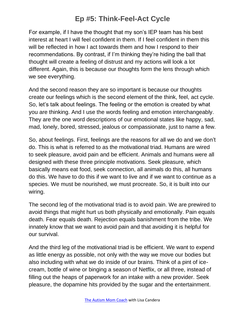For example, if I have the thought that my son's IEP team has his best interest at heart I will feel confident in them. If I feel confident in them this will be reflected in how I act towards them and how I respond to their recommendations. By contrast, if I'm thinking they're hiding the ball that thought will create a feeling of distrust and my actions will look a lot different. Again, this is because our thoughts form the lens through which we see everything.

And the second reason they are so important is because our thoughts create our feelings which is the second element of the think, feel, act cycle. So, let's talk about feelings. The feeling or the emotion is created by what you are thinking. And I use the words feeling and emotion interchangeably. They are the one word descriptions of our emotional states like happy, sad, mad, lonely, bored, stressed, jealous or compassionate, just to name a few.

So, about feelings. First, feelings are the reasons for all we do and we don't do. This is what is referred to as the motivational triad. Humans are wired to seek pleasure, avoid pain and be efficient. Animals and humans were all designed with these three principle motivations. Seek pleasure, which basically means eat food, seek connection, all animals do this, all humans do this. We have to do this if we want to live and if we want to continue as a species. We must be nourished, we must procreate. So, it is built into our wiring.

The second leg of the motivational triad is to avoid pain. We are prewired to avoid things that might hurt us both physically and emotionally. Pain equals death. Fear equals death. Rejection equals banishment from the tribe. We innately know that we want to avoid pain and that avoiding it is helpful for our survival.

And the third leg of the motivational triad is be efficient. We want to expend as little energy as possible, not only with the way we move our bodies but also including with what we do inside of our brains. Think of a pint of icecream, bottle of wine or binging a season of Netflix, or all three, instead of filling out the heaps of paperwork for an intake with a new provider. Seek pleasure, the dopamine hits provided by the sugar and the entertainment.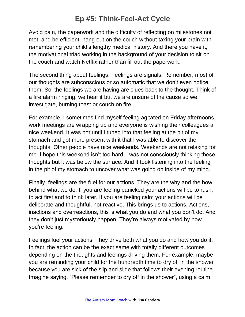Avoid pain, the paperwork and the difficulty of reflecting on milestones not met, and be efficient, hang out on the couch without taxing your brain with remembering your child's lengthy medical history. And there you have it, the motivational triad working in the background of your decision to sit on the couch and watch Netflix rather than fill out the paperwork.

The second thing about feelings. Feelings are signals. Remember, most of our thoughts are subconscious or so automatic that we don't even notice them. So, the feelings we are having are clues back to the thought. Think of a fire alarm ringing, we hear it but we are unsure of the cause so we investigate, burning toast or couch on fire.

For example, I sometimes find myself feeling agitated on Friday afternoons, work meetings are wrapping up and everyone is wishing their colleagues a nice weekend. It was not until I tuned into that feeling at the pit of my stomach and got more present with it that I was able to discover the thoughts. Other people have nice weekends. Weekends are not relaxing for me. I hope this weekend isn't too hard. I was not consciously thinking these thoughts but it was below the surface. And it took listening into the feeling in the pit of my stomach to uncover what was going on inside of my mind.

Finally, feelings are the fuel for our actions. They are the why and the how behind what we do. If you are feeling panicked your actions will be to rush, to act first and to think later. If you are feeling calm your actions will be deliberate and thoughtful, not reactive. This brings us to actions. Actions, inactions and overreactions, this is what you do and what you don't do. And they don't just mysteriously happen. They're always motivated by how you're feeling.

Feelings fuel your actions. They drive both what you do and how you do it. In fact, the action can be the exact same with totally different outcomes depending on the thoughts and feelings driving them. For example, maybe you are reminding your child for the hundredth time to dry off in the shower because you are sick of the slip and slide that follows their evening routine. Imagine saying, "Please remember to dry off in the shower", using a calm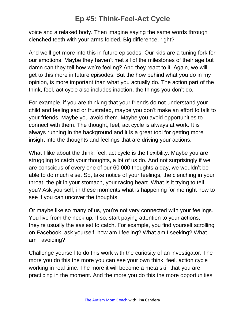voice and a relaxed body. Then imagine saying the same words through clenched teeth with your arms folded. Big difference, right?

And we'll get more into this in future episodes. Our kids are a tuning fork for our emotions. Maybe they haven't met all of the milestones of their age but damn can they tell how we're feeling? And they react to it. Again, we will get to this more in future episodes. But the how behind what you do in my opinion, is more important than what you actually do. The action part of the think, feel, act cycle also includes inaction, the things you don't do.

For example, if you are thinking that your friends do not understand your child and feeling sad or frustrated, maybe you don't make an effort to talk to your friends. Maybe you avoid them. Maybe you avoid opportunities to connect with them. The thought, feel, act cycle is always at work. It is always running in the background and it is a great tool for getting more insight into the thoughts and feelings that are driving your actions.

What I like about the think, feel, act cycle is the flexibility. Maybe you are struggling to catch your thoughts, a lot of us do. And not surprisingly if we are conscious of every one of our 60,000 thoughts a day, we wouldn't be able to do much else. So, take notice of your feelings, the clenching in your throat, the pit in your stomach, your racing heart. What is it trying to tell you? Ask yourself, in these moments what is happening for me right now to see if you can uncover the thoughts.

Or maybe like so many of us, you're not very connected with your feelings. You live from the neck up. If so, start paying attention to your actions, they're usually the easiest to catch. For example, you find yourself scrolling on Facebook, ask yourself, how am I feeling? What am I seeking? What am I avoiding?

Challenge yourself to do this work with the curiosity of an investigator. The more you do this the more you can see your own think, feel, action cycle working in real time. The more it will become a meta skill that you are practicing in the moment. And the more you do this the more opportunities